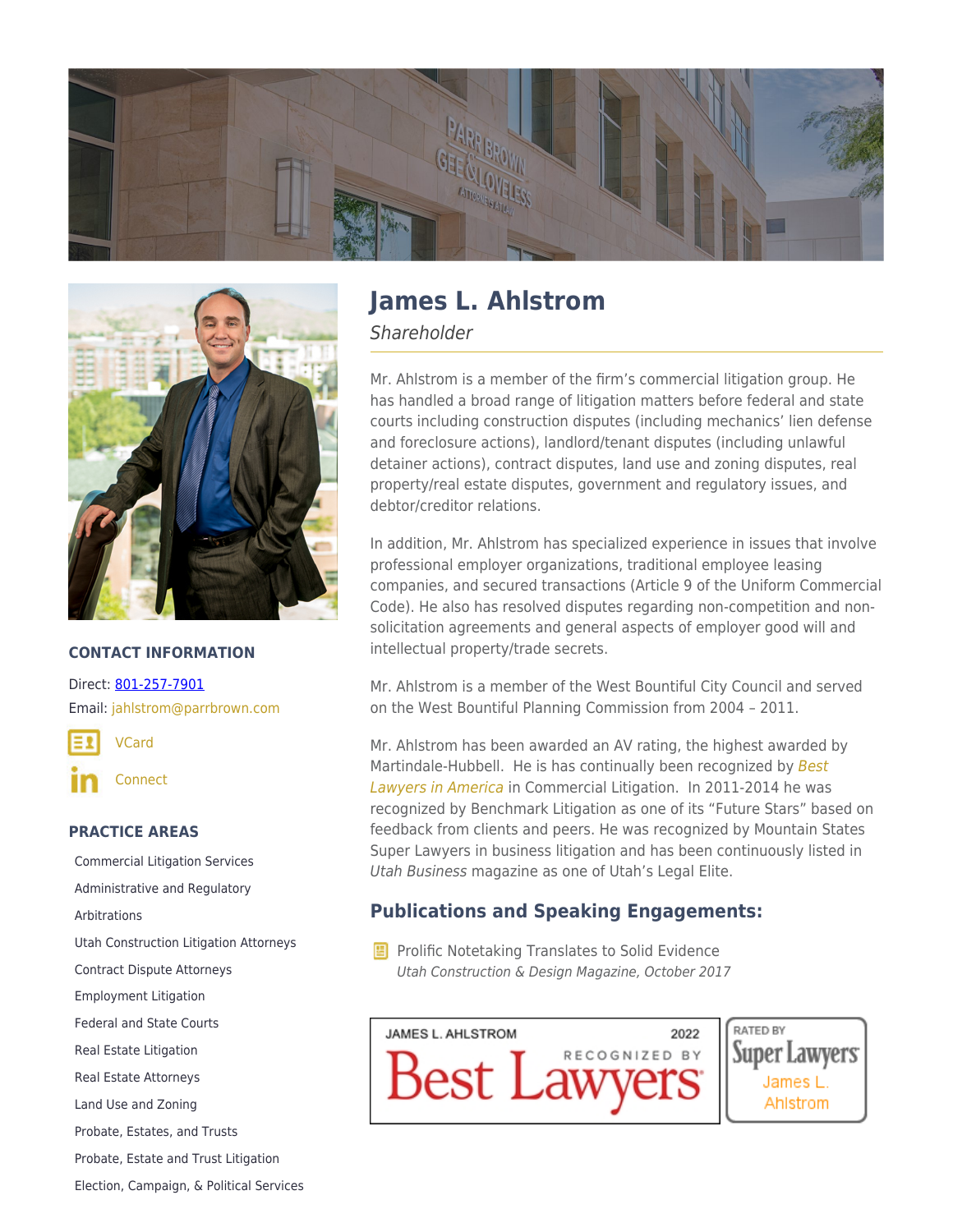



#### **CONTACT INFORMATION**

Direct: [801-257-7901](https://parrbrown.com/tel:1-801-257-7901) Email: [jahlstrom@parrbrown.com](mailto:jahlstrom@parrbrown.com)

[VCard](https://parrbrown.com/wp-content/uploads/2018/02/James-L.-Ahlstrom-2.vcf)

[Connect](https://www.linkedin.com/pub/james-ahlstrom/11/6a2/566)

### **PRACTICE AREAS**

[Commercial Litigation Services](https://parrbrown.com/services/commercial-litigation/) [Administrative and Regulatory](https://parrbrown.com/services/commercial-litigation/administrative-regulatory/) [Arbitrations](https://parrbrown.com/services/commercial-litigation/arbitrations/) [Utah Construction Litigation Attorneys](https://parrbrown.com/services/commercial-litigation/construction-litigation/) [Contract Dispute Attorneys](https://parrbrown.com/services/commercial-litigation/contract-disputes/) [Employment Litigation](https://parrbrown.com/services/employment-law/employment-litigation/) [Federal and State Courts](https://parrbrown.com/services/commercial-litigation/federal-and-state-courts/) [Real Estate Litigation](https://parrbrown.com/services/commercial-litigation/real-estate-litigation/) [Real Estate Attorneys](https://parrbrown.com/services/real-estate-law/) [Land Use and Zoning](https://parrbrown.com/services/real-estate-law/land-use-zoning/) [Probate, Estates, and Trusts](https://parrbrown.com/services/probate-estates-and-trusts/) [Probate, Estate and Trust Litigation](https://parrbrown.com/services/probate-estates-and-trusts/probate-estate-and-trust-litigation/) [Election, Campaign, & Political Services](https://parrbrown.com/services/election-campaign-and-political/)

# **James L. Ahlstrom**

**Shareholder** 

Mr. Ahlstrom is a member of the firm's commercial litigation group. He has handled a broad range of litigation matters before federal and state courts including construction disputes (including mechanics' lien defense and foreclosure actions), landlord/tenant disputes (including unlawful detainer actions), contract disputes, land use and zoning disputes, real property/real estate disputes, government and regulatory issues, and debtor/creditor relations.

In addition, Mr. Ahlstrom has specialized experience in issues that involve professional employer organizations, traditional employee leasing companies, and secured transactions (Article 9 of the Uniform Commercial Code). He also has resolved disputes regarding non-competition and nonsolicitation agreements and general aspects of employer good will and intellectual property/trade secrets.

Mr. Ahlstrom is a member of the West Bountiful City Council and served on the West Bountiful Planning Commission from 2004 – 2011.

Mr. Ahlstrom has been awarded an AV rating, the highest awarded by Martindale-Hubbell. He is has continually been recognized by [Best](https://www.bestlawyers.com/) [Lawyers in America](https://www.bestlawyers.com/) in Commercial Litigation. In 2011-2014 he was recognized by Benchmark Litigation as one of its "Future Stars" based on feedback from clients and peers. He was recognized by Mountain States Super Lawyers in business litigation and has been continuously listed in Utah Business magazine as one of [Utah's Legal Elite](https://www.utahbusiness.com/meet-the-2022-legal-elite/).

## **Publications and Speaking Engagements:**

**E** Prolific Notetaking Translates to Solid Evidence Utah Construction & Design Magazine, October 2017